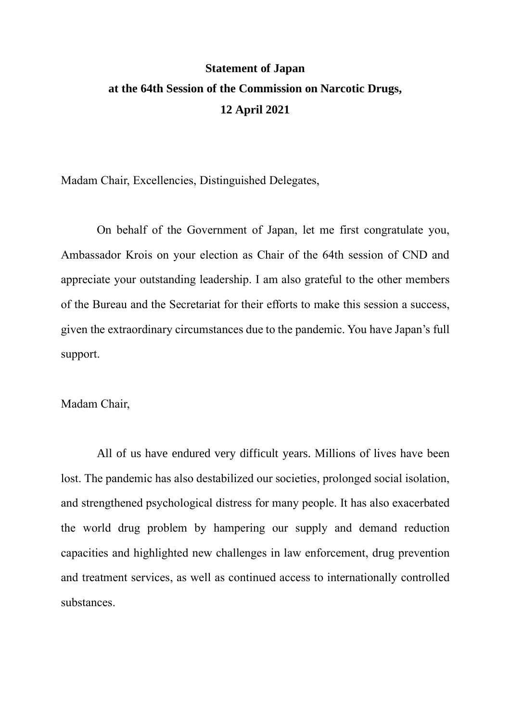## **Statement of Japan at the 64th Session of the Commission on Narcotic Drugs, 12 April 2021**

Madam Chair, Excellencies, Distinguished Delegates,

On behalf of the Government of Japan, let me first congratulate you, Ambassador Krois on your election as Chair of the 64th session of CND and appreciate your outstanding leadership. I am also grateful to the other members of the Bureau and the Secretariat for their efforts to make this session a success, given the extraordinary circumstances due to the pandemic. You have Japan's full support.

## Madam Chair,

All of us have endured very difficult years. Millions of lives have been lost. The pandemic has also destabilized our societies, prolonged social isolation, and strengthened psychological distress for many people. It has also exacerbated the world drug problem by hampering our supply and demand reduction capacities and highlighted new challenges in law enforcement, drug prevention and treatment services, as well as continued access to internationally controlled substances.